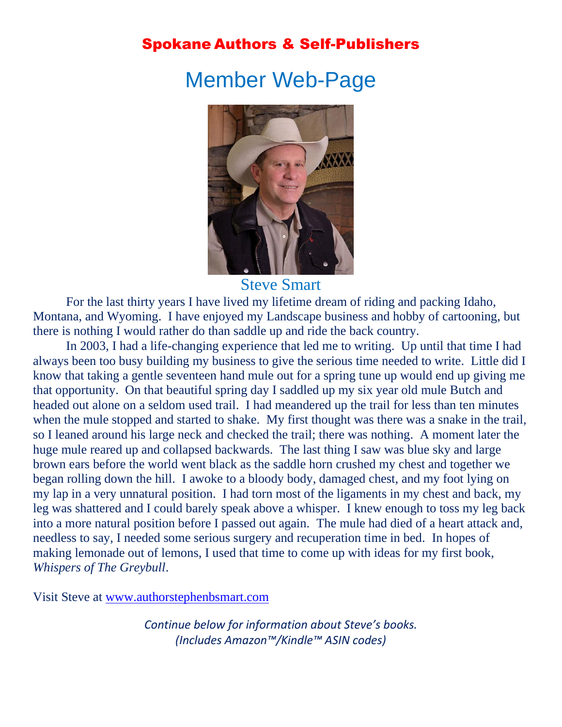## Spokane Authors & Self-Publishers

# Member Web-Page



Steve Smart

For the last thirty years I have lived my lifetime dream of riding and packing Idaho, Montana, and Wyoming. I have enjoyed my Landscape business and hobby of cartooning, but there is nothing I would rather do than saddle up and ride the back country.

In 2003, I had a life-changing experience that led me to writing. Up until that time I had always been too busy building my business to give the serious time needed to write. Little did I know that taking a gentle seventeen hand mule out for a spring tune up would end up giving me that opportunity. On that beautiful spring day I saddled up my six year old mule Butch and headed out alone on a seldom used trail. I had meandered up the trail for less than ten minutes when the mule stopped and started to shake. My first thought was there was a snake in the trail, so I leaned around his large neck and checked the trail; there was nothing. A moment later the huge mule reared up and collapsed backwards. The last thing I saw was blue sky and large brown ears before the world went black as the saddle horn crushed my chest and together we began rolling down the hill. I awoke to a bloody body, damaged chest, and my foot lying on my lap in a very unnatural position. I had torn most of the ligaments in my chest and back, my leg was shattered and I could barely speak above a whisper. I knew enough to toss my leg back into a more natural position before I passed out again. The mule had died of a heart attack and, needless to say, I needed some serious surgery and recuperation time in bed. In hopes of making lemonade out of lemons, I used that time to come up with ideas for my first book, *Whispers of The Greybull*.

Visit Steve at [www.authorstephenbsmart.com](http://www.authorstephenbsmart.com/) 

*Continue below for information about Steve's books. (Includes Amazon™/Kindle™ ASIN codes)*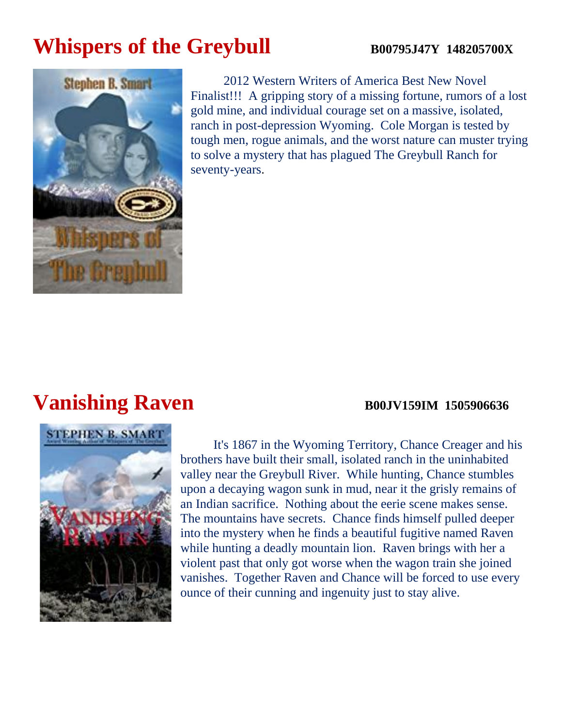# **Whispers of the Greybull** B00795J47Y 148205700X



2012 Western Writers of America Best New Novel Finalist!!! A gripping story of a missing fortune, rumors of a lost gold mine, and individual courage set on a massive, isolated, ranch in post-depression Wyoming. Cole Morgan is tested by tough men, rogue animals, and the worst nature can muster trying to solve a mystery that has plagued The Greybull Ranch for seventy-years.

# **Vanishing Raven B00JV159IM 1505906636**

# **STEPHEN B. SMART**

It's 1867 in the Wyoming Territory, Chance Creager and his brothers have built their small, isolated ranch in the uninhabited valley near the Greybull River. While hunting, Chance stumbles upon a decaying wagon sunk in mud, near it the grisly remains of an Indian sacrifice. Nothing about the eerie scene makes sense. The mountains have secrets. Chance finds himself pulled deeper into the mystery when he finds a beautiful fugitive named Raven while hunting a deadly mountain lion. Raven brings with her a violent past that only got worse when the wagon train she joined vanishes. Together Raven and Chance will be forced to use every ounce of their cunning and ingenuity just to stay alive.